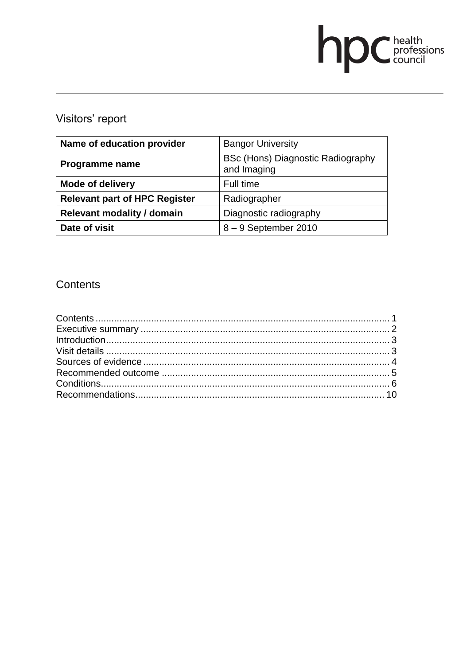# **DC** health<br>council

# Visitors' report

| Name of education provider           | <b>Bangor University</b>                         |
|--------------------------------------|--------------------------------------------------|
| Programme name                       | BSc (Hons) Diagnostic Radiography<br>and Imaging |
| <b>Mode of delivery</b>              | Full time                                        |
| <b>Relevant part of HPC Register</b> | Radiographer                                     |
| <b>Relevant modality / domain</b>    | Diagnostic radiography                           |
| Date of visit                        | $8 - 9$ September 2010                           |

# **Contents**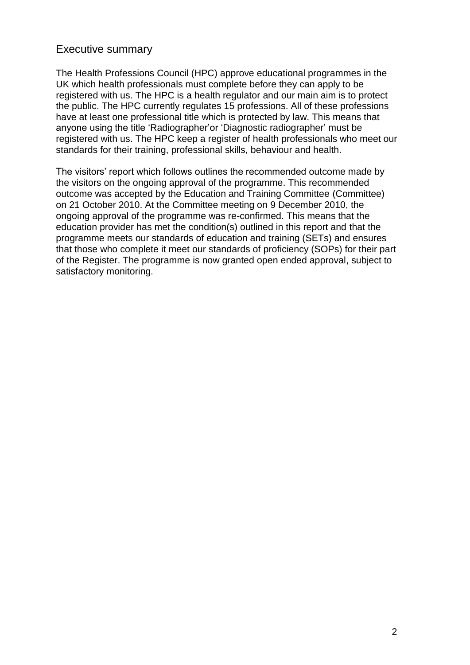## Executive summary

The Health Professions Council (HPC) approve educational programmes in the UK which health professionals must complete before they can apply to be registered with us. The HPC is a health regulator and our main aim is to protect the public. The HPC currently regulates 15 professions. All of these professions have at least one professional title which is protected by law. This means that anyone using the title "Radiographer"or "Diagnostic radiographer" must be registered with us. The HPC keep a register of health professionals who meet our standards for their training, professional skills, behaviour and health.

The visitors' report which follows outlines the recommended outcome made by the visitors on the ongoing approval of the programme. This recommended outcome was accepted by the Education and Training Committee (Committee) on 21 October 2010. At the Committee meeting on 9 December 2010, the ongoing approval of the programme was re-confirmed. This means that the education provider has met the condition(s) outlined in this report and that the programme meets our standards of education and training (SETs) and ensures that those who complete it meet our standards of proficiency (SOPs) for their part of the Register. The programme is now granted open ended approval, subject to satisfactory monitoring.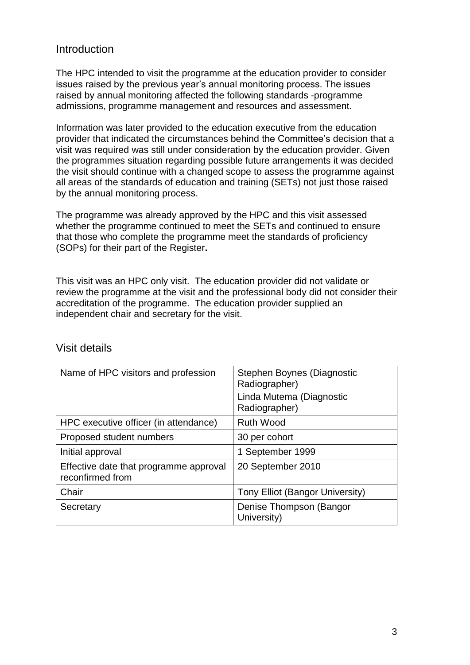## Introduction

The HPC intended to visit the programme at the education provider to consider issues raised by the previous year"s annual monitoring process. The issues raised by annual monitoring affected the following standards -programme admissions, programme management and resources and assessment.

Information was later provided to the education executive from the education provider that indicated the circumstances behind the Committee"s decision that a visit was required was still under consideration by the education provider. Given the programmes situation regarding possible future arrangements it was decided the visit should continue with a changed scope to assess the programme against all areas of the standards of education and training (SETs) not just those raised by the annual monitoring process.

The programme was already approved by the HPC and this visit assessed whether the programme continued to meet the SETs and continued to ensure that those who complete the programme meet the standards of proficiency (SOPs) for their part of the Register**.**

This visit was an HPC only visit. The education provider did not validate or review the programme at the visit and the professional body did not consider their accreditation of the programme. The education provider supplied an independent chair and secretary for the visit.

| Name of HPC visitors and profession                        | Stephen Boynes (Diagnostic<br>Radiographer)<br>Linda Mutema (Diagnostic<br>Radiographer) |
|------------------------------------------------------------|------------------------------------------------------------------------------------------|
| HPC executive officer (in attendance)                      | <b>Ruth Wood</b>                                                                         |
| Proposed student numbers                                   | 30 per cohort                                                                            |
| Initial approval                                           | 1 September 1999                                                                         |
| Effective date that programme approval<br>reconfirmed from | 20 September 2010                                                                        |
| Chair                                                      | Tony Elliot (Bangor University)                                                          |
| Secretary                                                  | Denise Thompson (Bangor<br>University)                                                   |

#### Visit details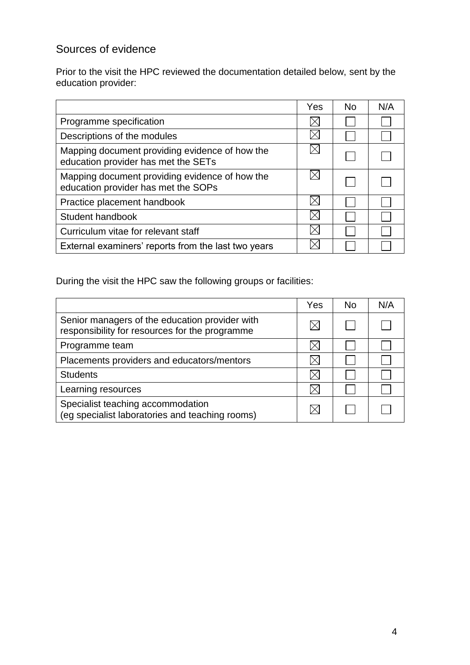# Sources of evidence

Prior to the visit the HPC reviewed the documentation detailed below, sent by the education provider:

|                                                                                       | Yes | No. | N/A |
|---------------------------------------------------------------------------------------|-----|-----|-----|
| Programme specification                                                               |     |     |     |
| Descriptions of the modules                                                           |     |     |     |
| Mapping document providing evidence of how the<br>education provider has met the SETs |     |     |     |
| Mapping document providing evidence of how the<br>education provider has met the SOPs |     |     |     |
| Practice placement handbook                                                           |     |     |     |
| Student handbook                                                                      |     |     |     |
| Curriculum vitae for relevant staff                                                   |     |     |     |
| External examiners' reports from the last two years                                   |     |     |     |

During the visit the HPC saw the following groups or facilities:

|                                                                                                  | Yes | No. | N/A |
|--------------------------------------------------------------------------------------------------|-----|-----|-----|
| Senior managers of the education provider with<br>responsibility for resources for the programme |     |     |     |
| Programme team                                                                                   |     |     |     |
| Placements providers and educators/mentors                                                       |     |     |     |
| <b>Students</b>                                                                                  |     |     |     |
| Learning resources                                                                               |     |     |     |
| Specialist teaching accommodation<br>(eg specialist laboratories and teaching rooms)             |     |     |     |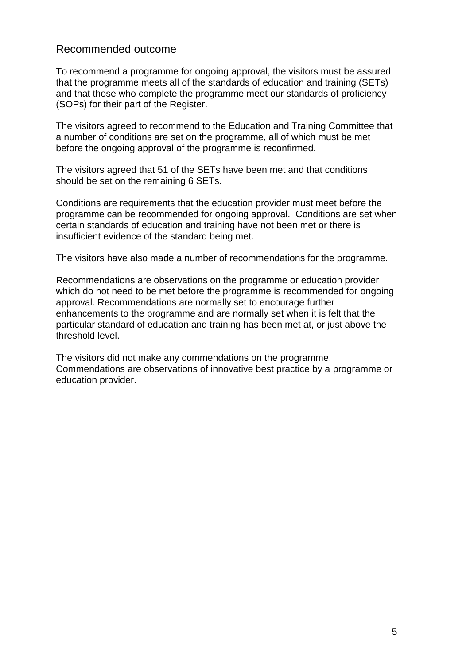## Recommended outcome

To recommend a programme for ongoing approval, the visitors must be assured that the programme meets all of the standards of education and training (SETs) and that those who complete the programme meet our standards of proficiency (SOPs) for their part of the Register.

The visitors agreed to recommend to the Education and Training Committee that a number of conditions are set on the programme, all of which must be met before the ongoing approval of the programme is reconfirmed.

The visitors agreed that 51 of the SETs have been met and that conditions should be set on the remaining 6 SETs.

Conditions are requirements that the education provider must meet before the programme can be recommended for ongoing approval. Conditions are set when certain standards of education and training have not been met or there is insufficient evidence of the standard being met.

The visitors have also made a number of recommendations for the programme.

Recommendations are observations on the programme or education provider which do not need to be met before the programme is recommended for ongoing approval. Recommendations are normally set to encourage further enhancements to the programme and are normally set when it is felt that the particular standard of education and training has been met at, or just above the threshold level.

The visitors did not make any commendations on the programme. Commendations are observations of innovative best practice by a programme or education provider.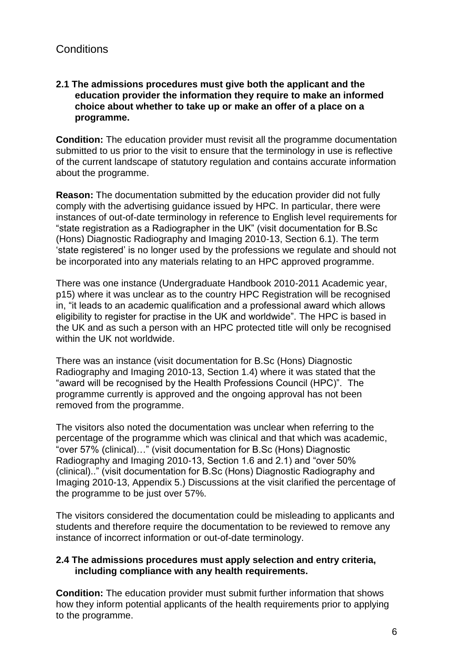#### **2.1 The admissions procedures must give both the applicant and the education provider the information they require to make an informed choice about whether to take up or make an offer of a place on a programme.**

**Condition:** The education provider must revisit all the programme documentation submitted to us prior to the visit to ensure that the terminology in use is reflective of the current landscape of statutory regulation and contains accurate information about the programme.

**Reason:** The documentation submitted by the education provider did not fully comply with the advertising guidance issued by HPC. In particular, there were instances of out-of-date terminology in reference to English level requirements for "state registration as a Radiographer in the UK" (visit documentation for B.Sc (Hons) Diagnostic Radiography and Imaging 2010-13, Section 6.1). The term "state registered" is no longer used by the professions we regulate and should not be incorporated into any materials relating to an HPC approved programme.

There was one instance (Undergraduate Handbook 2010-2011 Academic year, p15) where it was unclear as to the country HPC Registration will be recognised in, "it leads to an academic qualification and a professional award which allows eligibility to register for practise in the UK and worldwide". The HPC is based in the UK and as such a person with an HPC protected title will only be recognised within the UK not worldwide.

There was an instance (visit documentation for B.Sc (Hons) Diagnostic Radiography and Imaging 2010-13, Section 1.4) where it was stated that the "award will be recognised by the Health Professions Council (HPC)". The programme currently is approved and the ongoing approval has not been removed from the programme.

The visitors also noted the documentation was unclear when referring to the percentage of the programme which was clinical and that which was academic, "over 57% (clinical)…" (visit documentation for B.Sc (Hons) Diagnostic Radiography and Imaging 2010-13, Section 1.6 and 2.1) and "over 50% (clinical).." (visit documentation for B.Sc (Hons) Diagnostic Radiography and Imaging 2010-13, Appendix 5.) Discussions at the visit clarified the percentage of the programme to be just over 57%.

The visitors considered the documentation could be misleading to applicants and students and therefore require the documentation to be reviewed to remove any instance of incorrect information or out-of-date terminology.

#### **2.4 The admissions procedures must apply selection and entry criteria, including compliance with any health requirements.**

**Condition:** The education provider must submit further information that shows how they inform potential applicants of the health requirements prior to applying to the programme.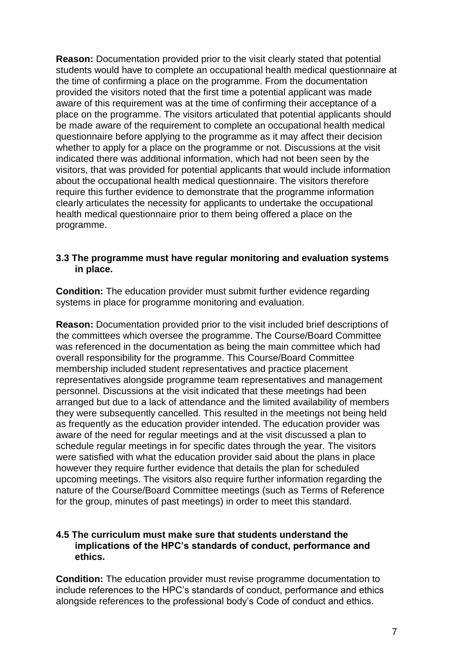**Reason:** Documentation provided prior to the visit clearly stated that potential students would have to complete an occupational health medical questionnaire at the time of confirming a place on the programme. From the documentation provided the visitors noted that the first time a potential applicant was made aware of this requirement was at the time of confirming their acceptance of a place on the programme. The visitors articulated that potential applicants should be made aware of the requirement to complete an occupational health medical questionnaire before applying to the programme as it may affect their decision whether to apply for a place on the programme or not. Discussions at the visit indicated there was additional information, which had not been seen by the visitors, that was provided for potential applicants that would include information about the occupational health medical questionnaire. The visitors therefore require this further evidence to demonstrate that the programme information clearly articulates the necessity for applicants to undertake the occupational health medical questionnaire prior to them being offered a place on the programme.

#### **3.3 The programme must have regular monitoring and evaluation systems in place.**

**Condition:** The education provider must submit further evidence regarding systems in place for programme monitoring and evaluation.

**Reason:** Documentation provided prior to the visit included brief descriptions of the committees which oversee the programme. The Course/Board Committee was referenced in the documentation as being the main committee which had overall responsibility for the programme. This Course/Board Committee membership included student representatives and practice placement representatives alongside programme team representatives and management personnel. Discussions at the visit indicated that these meetings had been arranged but due to a lack of attendance and the limited availability of members they were subsequently cancelled. This resulted in the meetings not being held as frequently as the education provider intended. The education provider was aware of the need for regular meetings and at the visit discussed a plan to schedule regular meetings in for specific dates through the year. The visitors were satisfied with what the education provider said about the plans in place however they require further evidence that details the plan for scheduled upcoming meetings. The visitors also require further information regarding the nature of the Course/Board Committee meetings (such as Terms of Reference for the group, minutes of past meetings) in order to meet this standard.

#### **4.5 The curriculum must make sure that students understand the implications of the HPC's standards of conduct, performance and ethics.**

**Condition:** The education provider must revise programme documentation to include references to the HPC"s standards of conduct, performance and ethics alongside references to the professional body"s Code of conduct and ethics.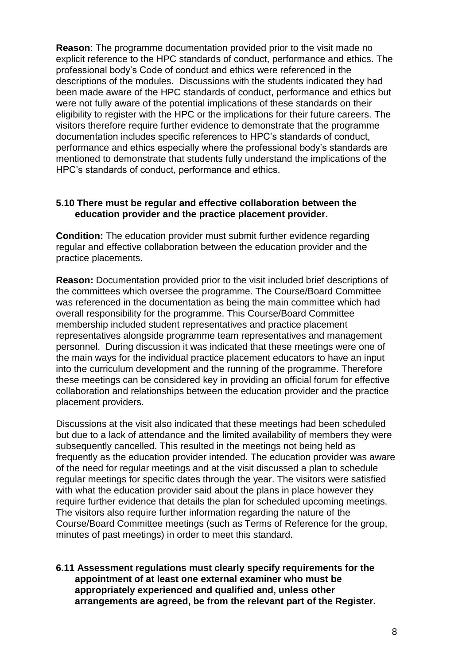**Reason:** The programme documentation provided prior to the visit made no explicit reference to the HPC standards of conduct, performance and ethics. The professional body"s Code of conduct and ethics were referenced in the descriptions of the modules. Discussions with the students indicated they had been made aware of the HPC standards of conduct, performance and ethics but were not fully aware of the potential implications of these standards on their eligibility to register with the HPC or the implications for their future careers. The visitors therefore require further evidence to demonstrate that the programme documentation includes specific references to HPC"s standards of conduct, performance and ethics especially where the professional body"s standards are mentioned to demonstrate that students fully understand the implications of the HPC"s standards of conduct, performance and ethics.

#### **5.10 There must be regular and effective collaboration between the education provider and the practice placement provider.**

**Condition:** The education provider must submit further evidence regarding regular and effective collaboration between the education provider and the practice placements.

**Reason:** Documentation provided prior to the visit included brief descriptions of the committees which oversee the programme. The Course/Board Committee was referenced in the documentation as being the main committee which had overall responsibility for the programme. This Course/Board Committee membership included student representatives and practice placement representatives alongside programme team representatives and management personnel. During discussion it was indicated that these meetings were one of the main ways for the individual practice placement educators to have an input into the curriculum development and the running of the programme. Therefore these meetings can be considered key in providing an official forum for effective collaboration and relationships between the education provider and the practice placement providers.

Discussions at the visit also indicated that these meetings had been scheduled but due to a lack of attendance and the limited availability of members they were subsequently cancelled. This resulted in the meetings not being held as frequently as the education provider intended. The education provider was aware of the need for regular meetings and at the visit discussed a plan to schedule regular meetings for specific dates through the year. The visitors were satisfied with what the education provider said about the plans in place however they require further evidence that details the plan for scheduled upcoming meetings. The visitors also require further information regarding the nature of the Course/Board Committee meetings (such as Terms of Reference for the group, minutes of past meetings) in order to meet this standard.

#### **6.11 Assessment regulations must clearly specify requirements for the appointment of at least one external examiner who must be appropriately experienced and qualified and, unless other arrangements are agreed, be from the relevant part of the Register.**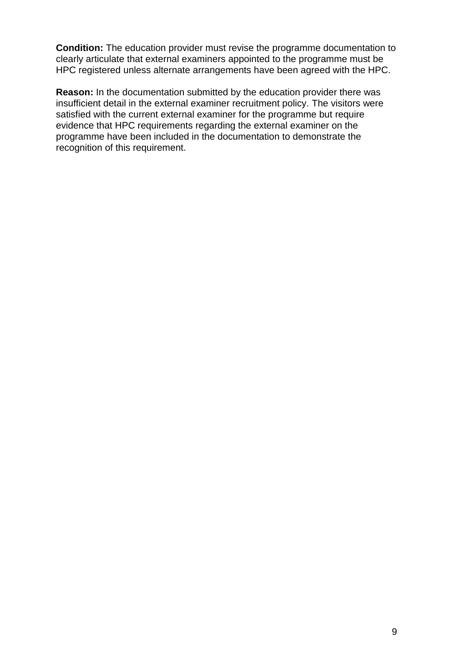**Condition:** The education provider must revise the programme documentation to clearly articulate that external examiners appointed to the programme must be HPC registered unless alternate arrangements have been agreed with the HPC.

**Reason:** In the documentation submitted by the education provider there was insufficient detail in the external examiner recruitment policy. The visitors were satisfied with the current external examiner for the programme but require evidence that HPC requirements regarding the external examiner on the programme have been included in the documentation to demonstrate the recognition of this requirement.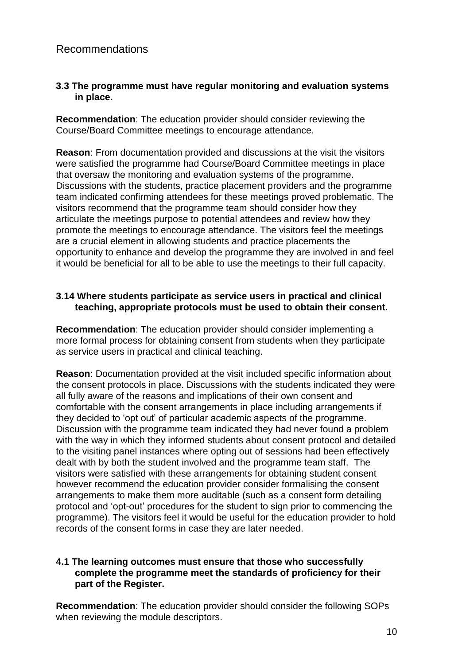# Recommendations

#### **3.3 The programme must have regular monitoring and evaluation systems in place.**

**Recommendation**: The education provider should consider reviewing the Course/Board Committee meetings to encourage attendance.

**Reason:** From documentation provided and discussions at the visit the visitors were satisfied the programme had Course/Board Committee meetings in place that oversaw the monitoring and evaluation systems of the programme. Discussions with the students, practice placement providers and the programme team indicated confirming attendees for these meetings proved problematic. The visitors recommend that the programme team should consider how they articulate the meetings purpose to potential attendees and review how they promote the meetings to encourage attendance. The visitors feel the meetings are a crucial element in allowing students and practice placements the opportunity to enhance and develop the programme they are involved in and feel it would be beneficial for all to be able to use the meetings to their full capacity.

#### **3.14 Where students participate as service users in practical and clinical teaching, appropriate protocols must be used to obtain their consent.**

**Recommendation**: The education provider should consider implementing a more formal process for obtaining consent from students when they participate as service users in practical and clinical teaching.

**Reason**: Documentation provided at the visit included specific information about the consent protocols in place. Discussions with the students indicated they were all fully aware of the reasons and implications of their own consent and comfortable with the consent arrangements in place including arrangements if they decided to "opt out" of particular academic aspects of the programme. Discussion with the programme team indicated they had never found a problem with the way in which they informed students about consent protocol and detailed to the visiting panel instances where opting out of sessions had been effectively dealt with by both the student involved and the programme team staff. The visitors were satisfied with these arrangements for obtaining student consent however recommend the education provider consider formalising the consent arrangements to make them more auditable (such as a consent form detailing protocol and "opt-out" procedures for the student to sign prior to commencing the programme). The visitors feel it would be useful for the education provider to hold records of the consent forms in case they are later needed.

#### **4.1 The learning outcomes must ensure that those who successfully complete the programme meet the standards of proficiency for their part of the Register.**

**Recommendation**: The education provider should consider the following SOPs when reviewing the module descriptors.